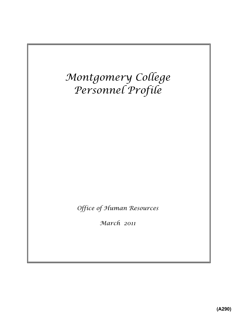# *Montgomery College Personnel Profile*

*Office of Human Resources*

*March 2011*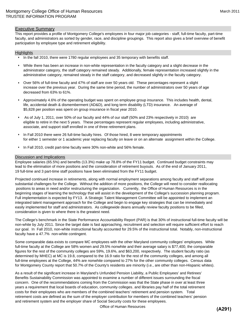#### Executive Summary

This report provides a profile of Montgomery College's employees in four major job categories - staff, full-time faculty, part-time faculty, and administrators as sorted by gender, race, and discipline groupings. This report also gives a brief overview of benefit participation by employee type and retirement eligibility.

#### **Highlights**

- $\cdot$  In the fall 2010, there were 1780 regular employees and 35 temporary with benefits staff.
- While there has been an increase in non-white representation in the faculty category and a slight decrease in the administrator category, the staff category remained steady. Additionally, female representation increased slightly in the administrative category, remained steady in the staff category, and decreased slightly in the faculty category.
- Over 56% of full-time faculty and 47% of staff are over 50 years old. These percentages represent a slight increase over the previous year. During the same time period, the number of administrators over 50 years of age decreased from 63% to 61%.
- Approximately 4.6% of the operating budget was spent on employee group insurance. This includes health, dental, life, accidental death & dismemberment (AD&D), and long term disability (LTD) insurance. An average of \$5,828 per position was spent on group insurance in fiscal year 2010.
- As of July 1, 2011, over 50% of our faculty and 44% of our staff (50% and 23% respectively in 2010) are eligible to retire in the next 5 years. These percentages represent regular employees, including administrative, associate, and support staff enrolled in one of three retirement plans.
- In Fall 2010 there were 26 full-time faculty hires. Of those hired, 8 were temporary appointments for either 1 semester or 1 academic year replacing faculty on leave or on an alternate assignment within the College.
- In Fall 2010, credit part-time faculty were 30% non-white and 56% female.

#### Discussion and Implications

Employee salaries (65.5%) and benefits (13.3%) make up 78.8% of the FY11 budget. Continued budget constraints may lead to the elimination of more positions and the consideration of retirement buyouts. As of the end of January 2011, 19 full-time and 3 part-time staff positions have been eliminated from the FY11 budget.

Projected continued increase in retirements, along with normal employment separations among faculty and staff will pose substantial challenges for the College. Without the addition of more positions, the College will need to consider reallocating positions to areas in need and/or restructuring the organization. Currently, the Office of Human Resources is in the beginning stages of learning the technology that will assist in the development of the College's succession planning program. Full implementation is expected by FY13. A Strategic Talent Management Committee will be appointed to implement an integrated talent management approach for the College and begin to engage key strategies that can be immediately and easily implemented for staff and administrators. As collegewide deans annually review faculty positions to be filled, consideration is given to where there is the greatest need.

The College's benchmark in the State Performance Accountability Report (PAR) is that 30% of instructional full-time faculty will be non-white by July 2011. Since the target date is fast approaching, recruitment and selection will require sufficient effort to reach our goal. In Fall 2010, non-white instructional faculty accounted for 29.5% of the instructional total. Notably, non-instructional faculty have a 47.7% non-white contingent.

Some comparable data exists to compare MC employees with the other Maryland community colleges' employees. While full-time faculty at the College are 58% women and 29.5% nonwhite and their average salary is \$77,400, the comparable figures for the rest of the community colleges are 59%, 19.6%, and \$63,200, respectively. The student faculty ratio (as determined by MHEC) at MC is 19.8, compared to the 16.9 ratio for the rest of the community colleges, and among all full-time employees at the College, 44% are nonwhite compared to 27% for the other community colleges. Census data for Montgomery County report that 50.7% of the County's residents are minority (i.e., are other than non-Hispanic whites).

As a result of the significant increase in Maryland's Unfunded Pension Liability, a Public Employees' and Retirees' Benefits Sustainability Commission was appointed to examine a number of different issues surrounding the fiscal concern. One of the recommendations coming from the Commission was that the State phase in over at least three years a requirement that local boards of education, community colleges, and libraries pay half of the total retirement costs for their employees who are members of the combined teachers' retirement and pension system. Total retirement costs are defined as the sum of the employer contribution for members of the combined teachers' pension and retirement system and the employer share of Social Security costs for these employees.

Office of Human Resources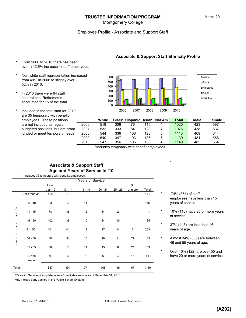#### **TRUSTEE INFORMATION PROGRAM**

#### Employee Profile - Associate and Support Staff

- **\*** From 2006 to 2010 there has been over a 12.5% increase in staff employees.
- **\*** Non-white staff representation increased from 49% in 2006 to slightly over 52% in 2010.
- **\*** In 2010 there were 64 staff separations. Retirements accounted for 15 of the total.
- **\*** Included in the total staff for 2010 are 35 temporary with benefit employees. These positio are not included as regular budgeted positions, but are funded or meet temporary



.

**Associate & Support Staff Ethnicity Profile**

| ᄗ       |      |       |     |                             |     |   |       |      |        |
|---------|------|-------|-----|-----------------------------|-----|---|-------|------|--------|
| ns      |      | White |     | Black Hispanic Asian Nat.Am |     |   | Total | Male | Female |
| r       | 2006 | 519   | 306 | 76                          | 115 | 4 | 1020  | 423  | 597    |
| e grant | 2007 | 532   | 333 | 84                          | 123 | 4 | 1076  | 438  | 637    |
| needs.  | 2008 | 544   | 336 | 100                         | 128 | 5 | 1113  | 469  | 644    |
|         | 2009 | 549   | 347 | 103                         | 135 | 5 | 1139  | 481  | 658    |
|         | 2010 | 547   | 356 | 106                         | 136 | 4 | 1149  | 485  | 664    |

\*Includes temporary with benefit employees.

#### **Associate & Support Staff Age and Years of Service in '10** \*Includes 35 temporary with benefits employees.

|                                      |                   |         |           | <b>Years of Service</b> |           |                |                |       |
|--------------------------------------|-------------------|---------|-----------|-------------------------|-----------|----------------|----------------|-------|
|                                      |                   | Less    |           |                         |           |                | 30             |       |
|                                      |                   | than 10 | $10 - 14$ | $15 - 19$               | $20 - 24$ | $25 - 29$      | or more        | Total |
|                                      | Less than 36      | 158     | 13        |                         |           |                |                | 171   |
|                                      | $36 - 40$         | 93      | 12        | 11                      |           |                |                | 116   |
| A<br>g<br>e                          | $41 - 45$         | 78      | 35        | 12                      | 14        | $\overline{2}$ |                | 141   |
| İ                                    | $46 - 50$         | 102     | 38        | 10                      | 24        | 10             | $\mathbf{1}$   | 185   |
| $\sf n$                              | $51 - 55$         | 101     | 41        | 13                      | 27        | 14             | $\overline{7}$ | 203   |
| $\boldsymbol{2}$<br>$\mathsf 0$<br>1 | $56 - 60$         | 80      | 31        | 15                      | 19        | 11             | 27             | 183   |
| 0                                    | $61 - 65$         | 36      | 18        | 11                      | 15        | 8              | 21             | 109   |
|                                      | 66 and<br>greater | 9       | 6         | 5                       | 6         | 4              | 11             | 41    |
| Total                                |                   | 657     | 194       | 77                      | 105       | 49             | 67             | 1149  |

\*Years Of Service - Complete years of creditable service as of December 31, 2010

- Less than 36 158 13 171 **\*** 74% (851) of staff employees have less than 15 years of service.
- 41 45 78 35 12 14 2 141 **\*** 10% (116) have 25 or more years of service.
- **\*** 37% (448) are less than 46 years of age.
- \* Almost 34% (388) are between 46 and 55 years of age.
- **\*** Over 10% (122) are over 55 and have 20 or more years of service.

May include early service in the Public School System.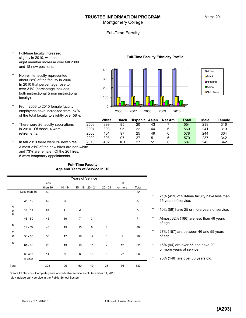#### **TRUSTEE INFORMATION PROGRAM**

Montgomery College

### Full-Time Faculty

- \* Full-time faculty increased slightly in 2010, with an eight member increase over fall 2009 and 18 new positions.
- \* Non-white faculty represented about 28% of the faculty in 2006. In 2010 that percentage rose to over 31% (percentage includes both instructional & non instructional faculty).
- \* From 2006 to 2010 female faculty employees have increased from 57% of the total faculty to slightly over 58%.
- \* There were 26 faculty separations in 2010. Of those, 4 were
- In fall 2010 there were 26 new hires. Almost 31% of the new hires are non-white and 73% are female. Of the 26 hires, 8 were temporary appointments.

#### **Full-Time Faculty Age and Years of Service in '10**

|                                       |              |         |           | Years of Service |    |                |                |       |          |                   |
|---------------------------------------|--------------|---------|-----------|------------------|----|----------------|----------------|-------|----------|-------------------|
|                                       |              | Less    |           |                  |    |                | 30             |       |          |                   |
|                                       |              | than 10 | $10 - 14$ | 15 - 19 20 - 24  |    | $25 - 29$      | or more        | Total |          |                   |
|                                       | Less than 36 | 52      |           |                  |    |                |                | 52    |          |                   |
|                                       |              |         |           |                  |    |                |                |       | $^\star$ | 71% (4            |
|                                       | $36 - 40$    | 52      | 5         |                  |    |                |                | 57    |          | 15 yea            |
| A                                     |              |         |           |                  |    |                |                |       |          |                   |
| g<br>e                                | $41 - 45$    | 58      | 17        | $\overline{2}$   |    |                |                | 77    | $\star$  | 10% (5            |
|                                       |              |         |           |                  |    |                |                |       | $\star$  |                   |
| j.                                    | $46 - 50$    | 45      | 16        | $\overline{7}$   | 3  |                |                | 71    |          | Almost<br>of age. |
| $\sf n$                               | $51 - 55$    | 46      | 19        | 10               | 8  | 3              |                | 86    |          |                   |
|                                       |              |         |           |                  |    |                |                |       | $^\star$ | 27% (1            |
| $\begin{array}{c} 2 \\ 0 \end{array}$ | $56 - 60$    | 33      | 17        | 19               | 17 | 8              | $\overline{2}$ | 96    |          | of age.           |
| $\mathbf{1}$                          |              |         |           |                  |    |                |                |       |          |                   |
| $\mathsf 0$                           | $61 - 65$    | 23      | 13        | 16               | 11 | $\overline{7}$ | 12             | 82    | $\star$  | 16% (9            |
|                                       |              |         |           |                  |    |                |                |       |          | or more           |
|                                       | 66 and       | 14      | 9         | 6                | 10 | 5              | 22             | 66    |          |                   |
|                                       | greater      |         |           |                  |    |                |                |       | $^\star$ | 25% (1            |
| Total                                 |              | 323     | 96        | 60               | 49 | 23             | 36             | 587   |          |                   |
|                                       |              |         |           |                  |    |                |                |       |          |                   |

**Full-Time Faculty Ethnicity Profile**



|                                       |      | White | <b>Black</b> | <b>Hispanic</b> | Asian | Nat.Am | <b>Total</b> | <b>Male</b> | Female |
|---------------------------------------|------|-------|--------------|-----------------|-------|--------|--------------|-------------|--------|
| There were 26 faculty separations     | 2006 | 399   | 85           | 20              | 43    |        | 554          | 238         | 316    |
| in 2010. Of those, 4 were             | 2007 | 393   | 95           | 22              | 44    |        | 560          | 241         | 319    |
| retirements.                          | 2008 | 401   | 97           | 25              | 49    |        | 578          | 244         | 334    |
|                                       | 2009 | 398   | 97           |                 | 51    |        | 579          | 237         | 342    |
| In fall 2010 there were 26 new hires. | 2010 | 402   | 101          | 27              | 51    |        | 587          | 245         | 342    |

- \* 71% (419) of full-time faculty have less than 15 years of service.
	- 10% (59) have 25 or more years of service.
	- Almost 32% (186) are less than 46 years of age.
	- 27% (157) are between 46 and 55 years
- $*$  16% (94) are over 55 and have 20 or more years of service.
	- 25% (148) are over 60 years old.

\*Years Of Service - Complete years of creditable service as of December 31, 2010.

May include early service in the Public School System.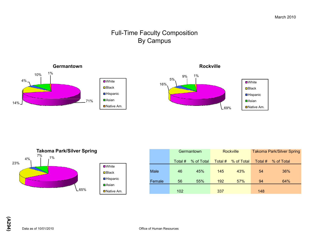# Full-Time Faculty Composition By Campus





|        |                       | Germantown |                         | <b>Rockville</b> | <b>Takoma Park/Silver Spring</b> |            |  |  |  |
|--------|-----------------------|------------|-------------------------|------------------|----------------------------------|------------|--|--|--|
|        | % of Total<br>Total # |            | % of Total<br>Total $#$ |                  | Total #                          | % of Total |  |  |  |
| Male   | 46                    | 45%        | 145                     | 43%              | 54                               | 36%        |  |  |  |
| Female | 56                    | 55%        | 192                     | 57%              | 94                               | 64%        |  |  |  |
|        | 102                   |            | 337                     |                  | 148                              |            |  |  |  |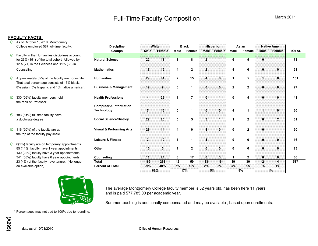# Full-Time Faculty Composition

#### **FACULTY FACTS:**

- **3** As of October 1, 2010, Montgomery College employed 587 full-time faculty.
- **Example 2** Faculty in the Humanities disciplines account for 26% (151) of the total cohort, followed by 12% (71) in the Sciences and 11% (66) in
- Approximately 32% of the faculty are non-white. H That total percentage consists of 17% black, 8% asian, 5% hispanic and 1% native american. B
- $\circled{3}$  330 (56%) faculty members hold H the rank of Professor.
- **۞** <sup>183</sup> (31%) full-time faculty have
- $\circled{1}$  116 (20%) of the faculty are at V the top of the faculty pay scale.
- **8** 8(1%) faculty are on temporary appointments. 85 (14%) faculty have 1 year appointments. 130 (22%) faculty have 3 year appointments. 341 (58%) faculty have 6 year appointments.  $\frac{C}{T}$ <br>23 (4%) of the faculty have tenure. (No longer 23 (4%) of the faculty have tenure. (No longer



| College employed 587 full-time faculty.                                                         | <b>Discipline</b><br><b>Groups</b>  | White<br><b>Male</b><br>Female | <b>Black</b><br><b>Male</b> | Female               | <b>Hispanic</b><br><b>Male</b><br>Female | <b>Male</b>  | Asian<br>Female | <b>Native Amer</b><br>Male<br>Female | <b>TOTAL</b> |
|-------------------------------------------------------------------------------------------------|-------------------------------------|--------------------------------|-----------------------------|----------------------|------------------------------------------|--------------|-----------------|--------------------------------------|--------------|
| Faculty in the Humanities disciplines account                                                   |                                     |                                |                             |                      |                                          |              |                 |                                      |              |
| for 26% (151) of the total cohort, followed by<br>12% (71) in the Sciences and 11% (66) in      | <b>Natural Science</b>              | 18<br>22                       | 8                           | 8                    | 2                                        | 6            | 5               | 0<br>1                               | 71           |
| Counseling.                                                                                     | <b>Mathematics</b>                  | 15<br>17                       | 4                           | $\overline{2}$       | $\mathbf{2}$                             | 4            | 6               | $\bf{0}$<br>$\bf{0}$                 | 51           |
| Approximately 32% of the faculty are non-white.<br>That total percentage consists of 17% black, | <b>Humanities</b>                   | 81<br>29                       | 7                           | 15                   | 8<br>4                                   | 1            | 5               | $\mathbf{0}$<br>4                    | 151          |
| 8% asian, 5% hispanic and 1% native american.                                                   | <b>Business &amp; Management</b>    | 12<br>$\overline{7}$           | 3                           | 1                    | $\bf{0}$<br>$\mathbf{0}$                 | $\mathbf{2}$ | $\mathbf{2}$    | $\bf{0}$<br>$\mathbf{0}$             | 27           |
| 330 (56%) faculty members hold<br>the rank of Professor.                                        | <b>Health Professions</b>           | 23<br>4                        |                             | $\overline{7}$       | $\mathbf{0}$                             | $\mathbf 0$  | 5               | $\bf{0}$<br>0                        | 41           |
|                                                                                                 | <b>Computer &amp; Information</b>   |                                |                             |                      |                                          |              |                 |                                      |              |
|                                                                                                 | <b>Technology</b>                   | 16<br>7                        | 0                           | $\blacktriangleleft$ | 0<br>$\bf{0}$                            | 4            | 1               | $\bf{0}$<br>1                        | 30           |
| 183 (31%) full-time faculty have                                                                |                                     |                                |                             |                      |                                          |              |                 |                                      |              |
| a doctorate degree.                                                                             | <b>Social Science/History</b>       | 20<br>22                       | 5                           | 5                    | 3                                        | 1            | $\mathbf{2}$    | $\mathbf{z}$<br>$\mathbf{0}$         | 61           |
| 116 (20%) of the faculty are at<br>the top of the faculty pay scale.                            | <b>Visual &amp; Performing Arts</b> | 28<br>14                       |                             | 0                    | $\mathbf{0}$                             | 0            | $\mathbf{2}$    | $\mathbf{0}$<br>1                    | 50           |
|                                                                                                 | <b>Leisure &amp; Fitness</b>        | 10<br>$\overline{2}$           |                             | $\mathbf 1$          |                                          | $\mathbf 0$  | $\mathbf 0$     | $\mathbf{0}$<br>0                    | 16           |
| 8(1%) faculty are on temporary appointments.                                                    |                                     |                                |                             |                      |                                          |              |                 |                                      |              |
| 85 (14%) faculty have 1 year appointments.<br>130 (22%) faculty have 3 year appointments.       | Other                               | 15<br>5                        |                             | $\mathbf{2}$         | $\bf{0}$<br>$\bf{0}$                     | $\mathbf 0$  | $\mathbf 0$     | $\mathbf{0}$<br>$\mathbf{0}$         | 23           |
| 341 (58%) faculty have 6 year appointments.                                                     | Counseling                          | 24<br>11                       | 8                           | 17                   | $\bf{0}$<br>3.                           | $\mathbf{1}$ | $\mathbf{2}$    | $\bf{0}$<br>$\bf{0}$                 | 66           |
| 23 (4%) of the faculty have tenure. (No longer                                                  | <b>Total</b>                        | 233<br>169                     | 42                          | 59                   | 16<br>13                                 | 19           | 30              | $\overline{2}$<br>4                  | 587          |
| an available option)                                                                            | <b>Percent of Total</b>             | 40%<br>29%                     | 7%                          | 10%                  | 2%<br>3%                                 | 3%           | 5%              | $0\%$<br>1%                          |              |
|                                                                                                 |                                     | 68%                            | 17%                         |                      | 5%                                       |              | 8%              | 1%                                   |              |

The average Montgomery College faculty member is 52 years old, has been here 11 years, and is paid \$77,785.00 per academic year.

Summer teaching is additionally compensated and may be available , based upon enrollments.

\* Percentages may not add to 100% due to rounding.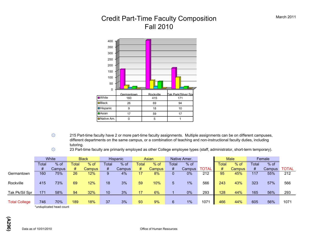# Credit Part-Time Faculty Composition Fall 2010



- © 215 Part-time faculty have 2 or more part-time faculty assignments. Multiple assignments can be on different campuses, different departments on the same campus, or a combination of teaching and non-instructional faculty duties, including tutoring.
- $\circled{2}$  23 Part-time faculty are primarily employed as other College employee types (staff, administrator, short-term temporary).

|                      |       | White    |       | <b>Black</b> |                 | <b>Hispanic</b> |       | Asian         |       | Native Amer. |              |       | <b>Male</b> |       | Female |              |
|----------------------|-------|----------|-------|--------------|-----------------|-----------------|-------|---------------|-------|--------------|--------------|-------|-------------|-------|--------|--------------|
|                      | Total | $%$ of   | ⊺otal | $%$ of       | Total           | $%$ of          | Total | $%$ of        | Total | $%$ of       |              | Total | $%$ of      | Total | $%$ of |              |
|                      | #     | Campus   | #     | Campus       | #               | Campus          | #     | <b>Campus</b> | #     | Campus       | <b>TOTAL</b> | #     | Campus      | #     | Campus | <b>TOTAL</b> |
| Germantown           | 160   | 75%      | 26    | 12%          | 9.              | 4%              | 17    | 8%            |       | $0\%$        | 212          | 95    | 45%         | 117   | 55%    | 212          |
| Rockville            | 415   | 73%      | 69    | 12%          | 18              | 3%              | 59    | 10%           |       | 1%           | 566          | 243   | 43%         | 323   | 57%    | 566          |
| Tak Pk/Sil Spr       | 171   | 58%      | 94    | 32%          | 10 <sup>°</sup> | 3%              | 17    | 6%            |       | 0%           | 293          | 128   | 44%         | 165   | 56%    | 293          |
| <b>Total College</b> | 746   | 70%<br>. | 189   | 18%          | 37              | 3%              | 93    | 9%            | 6     | 1%           | 1071         | 466   | 44%         | 605   | 56%    | 1071         |

\*unduplicated head count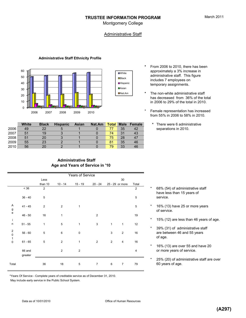Montgomery College

### **Administrative Staff**

■White **D**Black **D**Hispanic **□**Asian Nat.Am

#### **Administrative Staff Ethnicity Profile**



|      | <b>White</b> | <b>Black</b> | <b>Hispanic</b> | <b>Asian</b> | Nat.Am | <b>Total</b> | <b>Male</b> | Female |
|------|--------------|--------------|-----------------|--------------|--------|--------------|-------------|--------|
| 2006 | 49           | 22           |                 |              |        |              | 35          | 42     |
| 2007 | 51           | 19           |                 |              |        | 74           | 31          | 43     |
| 2008 | 51           | 20           |                 |              |        | 75           | 28          | 47     |
| 2009 | 55           | 23           |                 |              |        | 81           | 35          | 46     |
| 2010 | 56           | 20           |                 |              |        | 79           | 33          | 46     |

#### **\*** From 2006 to 2010, there has been approximately a 3% increase in administrative staff. This figure includes 7 employees on temporary assignments.

- **\*** The non-white administrative staff has decreased from 36% of the total in 2006 to 29% of the total in 2010.
- \* Female representation has increased from 55% in 2006 to 58% in 2010.
	- \* There were 6 administrative separations in 2010.

## **Administrative Staff Age and Years of Service in '10**

| Years of Service                                |                   |                |                |                |                |              |                 |       |          |                      |  |  |
|-------------------------------------------------|-------------------|----------------|----------------|----------------|----------------|--------------|-----------------|-------|----------|----------------------|--|--|
|                                                 |                   | Less           |                |                |                |              | 30              |       |          |                      |  |  |
|                                                 |                   | than 10        | $10 - 14$      | $15 - 19$      | $20 - 24$      |              | 25 - 29 or more | Total |          |                      |  |  |
|                                                 | < 36              | 2              |                |                |                |              |                 | 2     | $\star$  | 68% (54<br>have les  |  |  |
|                                                 | $36 - 40$         | 5              |                |                |                |              |                 | 5     |          | service.             |  |  |
| A<br>g<br>e                                     | $41 - 45$         | $\overline{2}$ | $\overline{2}$ | $\mathbf{1}$   |                |              |                 | 5     | *        | 16% (13<br>of servic |  |  |
| $\mathbf i$                                     | $46 - 50$         | 16             | 1              |                | $\overline{2}$ |              |                 | 19    | $\star$  | 15% (12              |  |  |
| $\sf n$                                         | $51 - 55$         | 1              | 5              | 1              | $\mathbf{3}$   | 1            | $\mathbf{1}$    | 12    | $\star$  | 39% (31              |  |  |
| $\begin{array}{c} 2 \\ 0 \\ 1 \\ 0 \end{array}$ | $56 - 60$         | 5              | 6              | $\pmb{0}$      |                | 3            | $\overline{2}$  | 16    |          | are betw<br>of age.  |  |  |
|                                                 | $61 - 65$         | 5              | $\overline{2}$ | $\mathbf{1}$   | $\overline{2}$ | $\mathbf{2}$ | $\overline{4}$  | 16    | $\star$  | 16% (13              |  |  |
|                                                 | 66 and<br>greater |                | $\overline{2}$ | $\overline{2}$ |                |              |                 | 4     |          | or more              |  |  |
| Total                                           |                   | 36             | 18             | 5              | $\overline{7}$ | 6            | $\overline{7}$  | 79    | $^\star$ | 25% (20<br>60 years  |  |  |

- 68% (54) of administrative staff have less than 15 years of
- 16% (13) have 25 or more years of service.
- 15% (12) are less than 46 years of age.
- \* 39% (31) of administrative staff are between 46 and 55 years of age.
- 16% (13) are over 55 and have 20 or more years of service.
- 25% (20) of administrative staff are over 60 years of age.

\*Years Of Service - Complete years of creditable service as of December 31, 2010.

May include early service in the Public School System.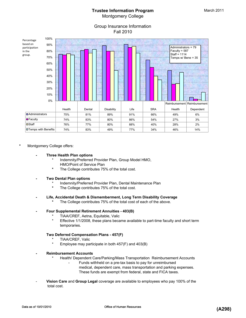# **Trustee Information Program** Montgomery College

## Group Insurance Information Fall 2010



#### **\*** Montgomery College offers:

#### **- Three Health Plan options**

- Indemnity/Preferred Provider Plan, Group Model HMO, HMO/Point of Service Plan
- The College contributes 75% of the total cost.

#### **- Two Dental Plan options**

- Indemnity/Preferred Provider Plan, Dental Maintenance Plan
- **\*** The College contributes 75% of the total cost.

#### **- Life, Accidental Death & Dismemberment, Long Term Disability Coverage**

**\*** The College contributes 75% of the total cost of each of the above.

#### **- Four Supplemental Retirement Annuities - 403(B)**

- TIAA/CREF, Aetna, Equitable, Valic
- Effective 1/1/2008, these plans became available to part-time faculty and short term temporaries.

#### **Two Deferred Compensation Plans - 457(F)**

- TIAA/CREF, Valic
- Employee may participate in both  $457(F)$  and  $403(B)$
- **Reimbursement Accounts**
	- Health/ Dependent Care/Parking/Mass Transportation Reimbursement Accounts
		- Funds withheld on a pre-tax basis to pay for unreimbursed medical, dependent care, mass transportation and parking expenses.
			- These funds are exempt from federal, state and FICA taxes.
- **Vision Care** and **Group Legal** coverage are available to employees who pay 100% of the total cost.